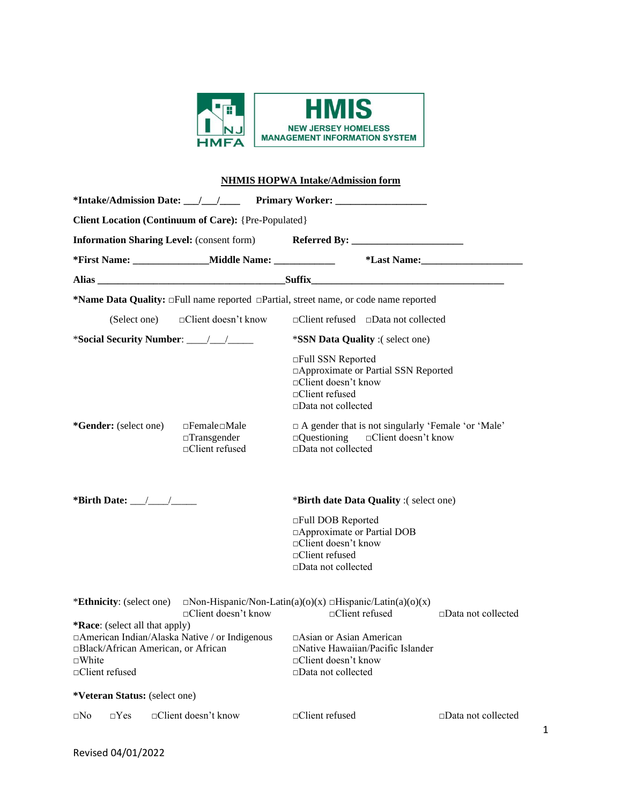

# **NHMIS HOPWA Intake/Admission form**

| <b>Client Location (Continuum of Care): {Pre-Populated}</b>                                                                                                   |                                                                          |                                                                                                                                           |                              |  |  |
|---------------------------------------------------------------------------------------------------------------------------------------------------------------|--------------------------------------------------------------------------|-------------------------------------------------------------------------------------------------------------------------------------------|------------------------------|--|--|
| Information Sharing Level: (consent form) Referred By: __________________________                                                                             |                                                                          |                                                                                                                                           |                              |  |  |
|                                                                                                                                                               |                                                                          |                                                                                                                                           |                              |  |  |
|                                                                                                                                                               |                                                                          |                                                                                                                                           |                              |  |  |
|                                                                                                                                                               |                                                                          | *Name Data Quality: $\Box$ Full name reported $\Box$ Partial, street name, or code name reported                                          |                              |  |  |
|                                                                                                                                                               | (Select one) □ □ □ ○ ○ □ □ □ □ △ ★ ★ now                                 | $\Box$ Client refused $\Box$ Data not collected                                                                                           |                              |  |  |
|                                                                                                                                                               |                                                                          | <i>*SSN Data Quality</i> :(select one)                                                                                                    |                              |  |  |
|                                                                                                                                                               |                                                                          | □Full SSN Reported<br>□ Approximate or Partial SSN Reported<br>$\Box$ Client doesn't know<br>$\Box$ Client refused<br>□Data not collected |                              |  |  |
| *Gender: (select one)                                                                                                                                         | $\Box$ Female $\Box$ Male<br>$\Box$ Transgender<br>$\Box$ Client refused | $\Box$ A gender that is not singularly 'Female 'or 'Male'<br>$\Box$ Questioning $\Box$ Client doesn't know<br>□Data not collected         |                              |  |  |
| *Birth Date: $\_\_\_\_\_\_\_\_\$                                                                                                                              |                                                                          | *Birth date Data Quality :(select one)                                                                                                    |                              |  |  |
|                                                                                                                                                               |                                                                          | □Full DOB Reported<br>□ Approximate or Partial DOB<br>□Client doesn't know<br>$\Box$ Client refused<br>□Data not collected                |                              |  |  |
|                                                                                                                                                               | $\Box$ Client doesn't know                                               | <b>*Ethnicity</b> : (select one) $\Box$ Non-Hispanic/Non-Latin(a)(o)(x) $\Box$ Hispanic/Latin(a)(o)(x)<br>$\Box$ Client refused           | $\Box$ Data not collected    |  |  |
| *Race: (select all that apply)<br>□American Indian/Alaska Native / or Indigenous<br>□Black/African American, or African<br>$\square$ White<br>□Client refused |                                                                          | $\Box$ Asian or Asian American<br>□Native Hawaiian/Pacific Islander<br>□Client doesn't know<br>$\square$ Data not collected               |                              |  |  |
| *Veteran Status: (select one)                                                                                                                                 |                                                                          |                                                                                                                                           |                              |  |  |
| $\Box$ Yes<br>$\square$ No                                                                                                                                    | □Client doesn't know                                                     | □Client refused                                                                                                                           | $\square$ Data not collected |  |  |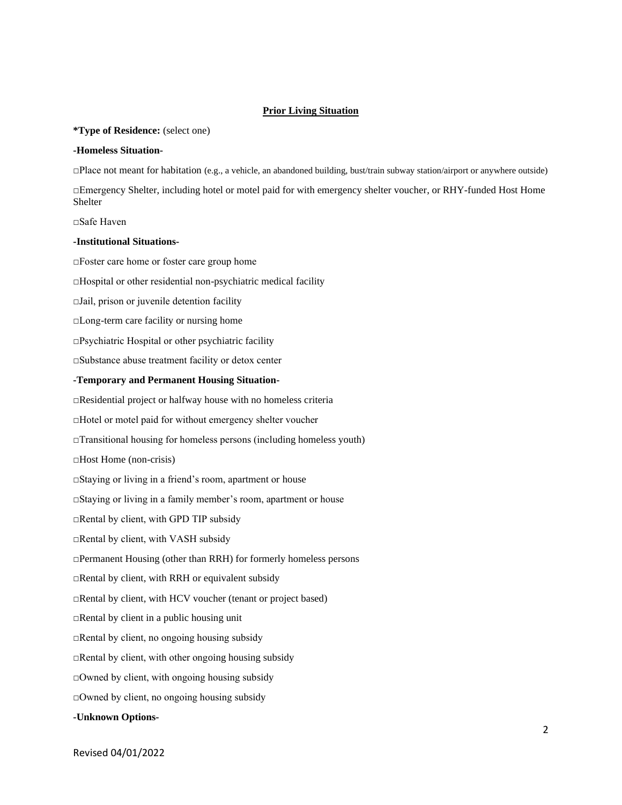### **Prior Living Situation**

#### **\*Type of Residence:** (select one)

#### **-Homeless Situation-**

□Place not meant for habitation (e.g., a vehicle, an abandoned building, bust/train subway station/airport or anywhere outside)

□Emergency Shelter, including hotel or motel paid for with emergency shelter voucher, or RHY-funded Host Home Shelter

□Safe Haven

#### **-Institutional Situations-**

□Foster care home or foster care group home □Hospital or other residential non-psychiatric medical facility □Jail, prison or juvenile detention facility □Long-term care facility or nursing home □Psychiatric Hospital or other psychiatric facility □Substance abuse treatment facility or detox center **-Temporary and Permanent Housing Situation-** □Residential project or halfway house with no homeless criteria □Hotel or motel paid for without emergency shelter voucher  $\Box$ Transitional housing for homeless persons (including homeless youth) □Host Home (non-crisis) □Staying or living in a friend's room, apartment or house □Staying or living in a family member's room, apartment or house □Rental by client, with GPD TIP subsidy □Rental by client, with VASH subsidy □Permanent Housing (other than RRH) for formerly homeless persons □Rental by client, with RRH or equivalent subsidy □Rental by client, with HCV voucher (tenant or project based) □Rental by client in a public housing unit □Rental by client, no ongoing housing subsidy  $\Box$ Rental by client, with other ongoing housing subsidy  $\Box$ Owned by client, with ongoing housing subsidy □Owned by client, no ongoing housing subsidy **-Unknown Options-**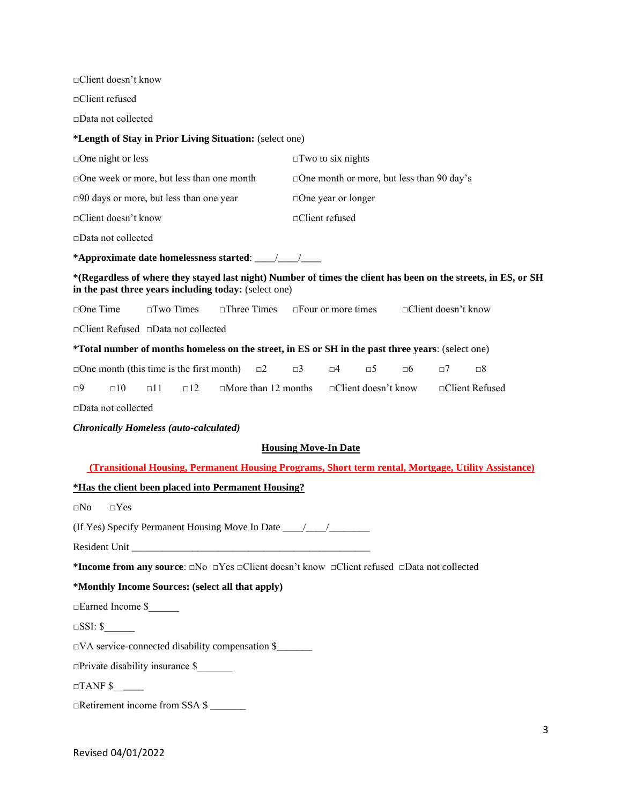□Client doesn't know □Client refused □Data not collected **\*Length of Stay in Prior Living Situation:** (select one) □One night or less □Two to six nights □One week or more, but less than one month □One month or more, but less than 90 day's □90 days or more, but less than one year □One year or longer □Client doesn't know □Client refused □Data not collected **\*Approximate date homelessness started**: \_\_\_\_/\_\_\_\_/\_\_\_\_ **\*(Regardless of where they stayed last night) Number of times the client has been on the streets, in ES, or SH in the past three years including today:** (select one) □One Time □Two Times □Three Times □Four or more times □Client doesn't know □Client Refused □Data not collected **\*Total number of months homeless on the street, in ES or SH in the past three years**: (select one) □One month (this time is the first month) □2 □3 □4 □5 □6 □7 □8  $\Box$ 9  $\Box$ 10  $\Box$ 11  $\Box$ 12  $\Box$  More than 12 months  $\Box$  Client doesn't know  $\Box$  Client Refused □Data not collected *Chronically Homeless (auto-calculated)* **Housing Move-In Date (Transitional Housing, Permanent Housing Programs, Short term rental, Mortgage, Utility Assistance) \*Has the client been placed into Permanent Housing?** □No □Yes (If Yes) Specify Permanent Housing Move In Date \_\_\_\_/\_\_\_\_/\_\_\_\_\_\_\_\_ Resident Unit **\*Income from any source**: □No □Yes □Client doesn't know □Client refused □Data not collected **\*Monthly Income Sources: (select all that apply)**  □Earned Income \$\_\_\_\_\_\_  $\square$ SSI: \$  $\Box VA$  service-connected disability compensation \$

 $\Box$ Private disability insurance \$

 $\Box$ TANF \$

□Retirement income from SSA \$ \_\_\_\_\_\_\_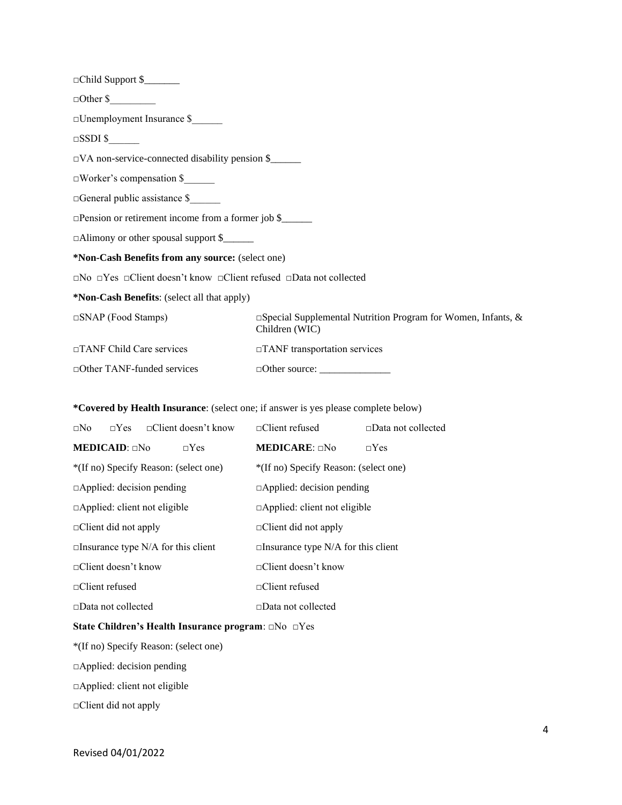| $\Box$ Other \$                                                                                                |                                                                                       |  |  |  |
|----------------------------------------------------------------------------------------------------------------|---------------------------------------------------------------------------------------|--|--|--|
| $\square$ Unemployment Insurance \$                                                                            |                                                                                       |  |  |  |
| $\Box$ SSDI \$                                                                                                 |                                                                                       |  |  |  |
| $\Box$ VA non-service-connected disability pension \$                                                          |                                                                                       |  |  |  |
| $\Box$ Worker's compensation \$                                                                                |                                                                                       |  |  |  |
| □General public assistance \$                                                                                  |                                                                                       |  |  |  |
| $\Box$ Pension or retirement income from a former job \$                                                       |                                                                                       |  |  |  |
| $\Box$ Alimony or other spousal support \$                                                                     |                                                                                       |  |  |  |
| *Non-Cash Benefits from any source: (select one)                                                               |                                                                                       |  |  |  |
| $\square$ No $\square$ Yes $\square$ Client doesn't know $\square$ Client refused $\square$ Data not collected |                                                                                       |  |  |  |
| *Non-Cash Benefits: (select all that apply)                                                                    |                                                                                       |  |  |  |
| $\Box$ SNAP (Food Stamps)                                                                                      | $\Box$ Special Supplemental Nutrition Program for Women, Infants, &<br>Children (WIC) |  |  |  |
| □TANF Child Care services<br>□TANF transportation services                                                     |                                                                                       |  |  |  |
| $\Box$ Other TANF-funded services                                                                              |                                                                                       |  |  |  |

## **\*Covered by Health Insurance**: (select one; if answer is yes please complete below)

| $\Box$ No                                 |                             | $\neg Yes \qquad \neg Client doesn't know$ | $\Box$ Client refused      | $\Box$ Data not collected |
|-------------------------------------------|-----------------------------|--------------------------------------------|----------------------------|---------------------------|
|                                           | <b>MEDICAID</b> : $\Box$ No | $\neg Yes$                                 | <b>MEDICARE:</b> $\Box$ No | $\neg$ Yes                |
| *(If no) Specify Reason: (select one)     |                             | *(If no) Specify Reason: (select one)      |                            |                           |
| $\Box$ Applied: decision pending          |                             | $\Box$ Applied: decision pending           |                            |                           |
| $\Box$ Applied: client not eligible       |                             | $\Box$ Applied: client not eligible        |                            |                           |
| $\Box$ Client did not apply               |                             | $\Box$ Client did not apply                |                            |                           |
| $\Box$ Insurance type N/A for this client |                             | $\Box$ Insurance type N/A for this client  |                            |                           |
| $\Box$ Client doesn't know                |                             | □Client doesn't know                       |                            |                           |
| $\Box$ Client refused                     |                             | $\Box$ Client refused                      |                            |                           |
| $\Box$ Data not collected                 |                             | $\Box$ Data not collected                  |                            |                           |

## **State Children's Health Insurance program**: □No □Yes

\*(If no) Specify Reason: (select one)

□Applied: decision pending

□Applied: client not eligible

□Client did not apply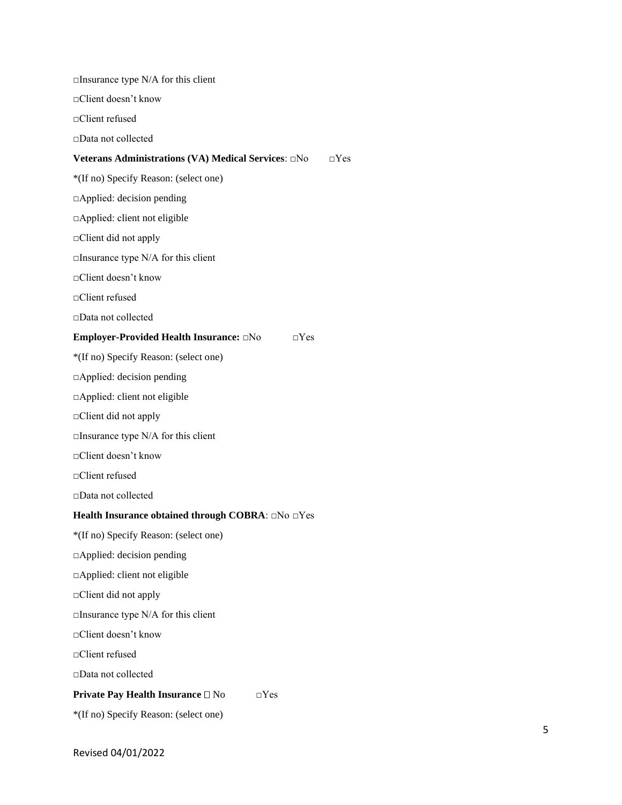| $\Box$ Insurance type N/A for this client                     |
|---------------------------------------------------------------|
| □Client doesn't know                                          |
| □Client refused                                               |
| □Data not collected                                           |
| $\neg Yes$                                                    |
| *(If no) Specify Reason: (select one)                         |
| $\Box$ Applied: decision pending                              |
| □Applied: client not eligible                                 |
| $\Box$ Client did not apply                                   |
| $\Box$ Insurance type N/A for this client                     |
| $\Box$ Client doesn't know                                    |
| □Client refused                                               |
| □Data not collected                                           |
| Employer-Provided Health Insurance: DNo<br>$\Box$ Yes         |
| *(If no) Specify Reason: (select one)                         |
| $\Box$ Applied: decision pending                              |
| □Applied: client not eligible                                 |
| $\Box$ Client did not apply                                   |
| $\Box$ Insurance type N/A for this client                     |
| □Client doesn't know                                          |
| □Client refused                                               |
| $\Box$ Data not collected                                     |
| Health Insurance obtained through COBRA: $\Box$ No $\Box$ Yes |
| *(If no) Specify Reason: (select one)                         |
| □Applied: decision pending                                    |
| □ Applied: client not eligible                                |
| $\Box$ Client did not apply                                   |
| $\Box$ Insurance type N/A for this client                     |
| □Client doesn't know                                          |
| □Client refused                                               |
| □Data not collected                                           |
| Private Pay Health Insurance □ No<br>$\Box$ Yes               |
| *(If no) Specify Reason: (select one)                         |
|                                                               |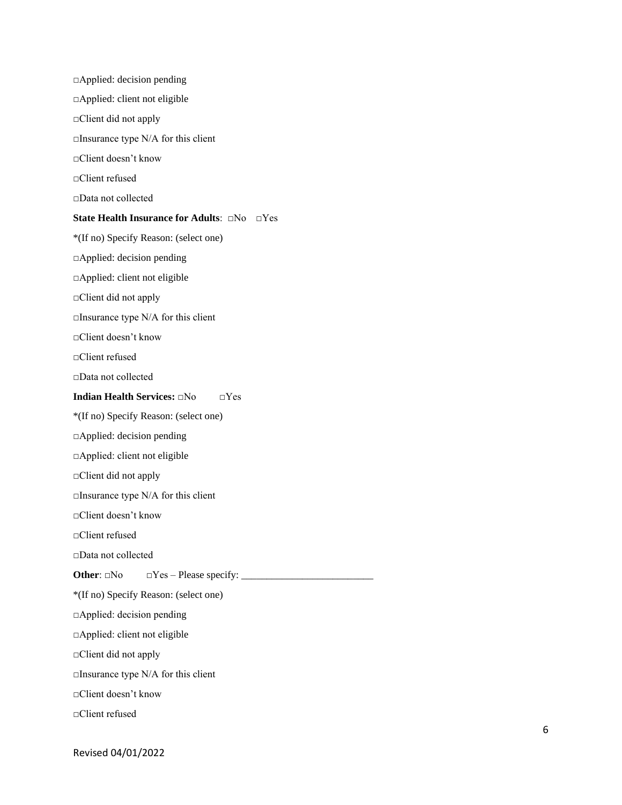□Applied: decision pending □Applied: client not eligible □Client did not apply  $\Box$ Insurance type N/A for this client □Client doesn't know □Client refused □Data not collected **State Health Insurance for Adults**: □No □Yes \*(If no) Specify Reason: (select one) □Applied: decision pending □Applied: client not eligible □Client did not apply □Insurance type N/A for this client □Client doesn't know □Client refused □Data not collected **Indian Health Services:** □No □Yes \*(If no) Specify Reason: (select one) □Applied: decision pending □Applied: client not eligible □Client did not apply  $\Box$ Insurance type N/A for this client □Client doesn't know □Client refused □Data not collected **Other**: □No □Yes – Please specify: \_\_\_\_\_\_\_\_\_\_\_\_\_\_\_\_\_\_\_\_\_\_\_\_\_\_ \*(If no) Specify Reason: (select one) □Applied: decision pending □Applied: client not eligible □Client did not apply  $\square$ Insurance type N/A for this client □Client doesn't know □Client refused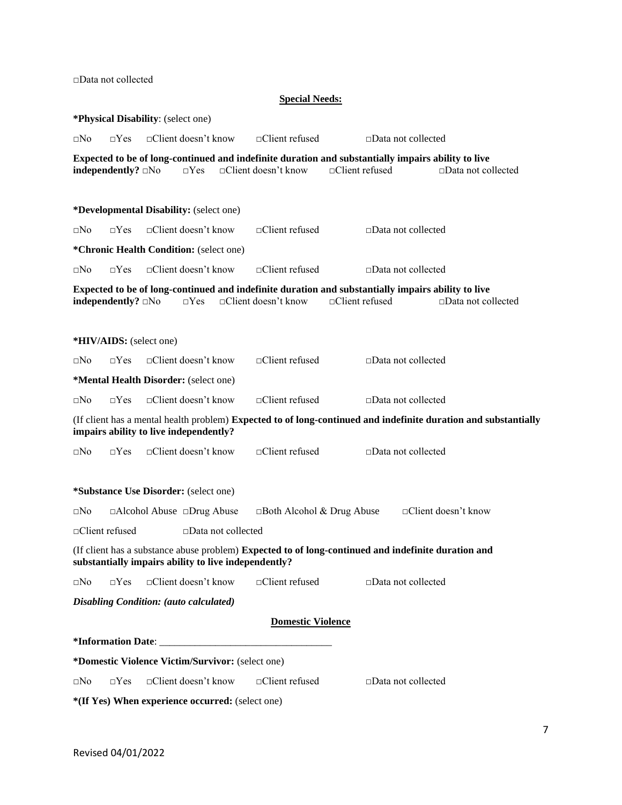□Data not collected

#### **Special Needs:**

**\*Physical Disability**: (select one) □No □Yes □Client doesn't know □Client refused □Data not collected **Expected to be of long-continued and indefinite duration and substantially impairs ability to live independently?** □No □Yes □Client doesn't know □Client refused □Data not collected **\*Developmental Disability:** (select one) □No □Yes □Client doesn't know □Client refused □Data not collected **\*Chronic Health Condition:** (select one) □No □Yes □Client doesn't know □Client refused □Data not collected **Expected to be of long-continued and indefinite duration and substantially impairs ability to live independently?** □No □Yes □Client doesn't know □Client refused □Data not collected **\*HIV/AIDS:** (select one) □No □Yes □Client doesn't know □Client refused □Data not collected **\*Mental Health Disorder:** (select one) □No □Yes □Client doesn't know □Client refused □Data not collected (If client has a mental health problem) **Expected to of long-continued and indefinite duration and substantially impairs ability to live independently?** □No □Yes □Client doesn't know □Client refused □Data not collected **\*Substance Use Disorder:** (select one) □No □Alcohol Abuse □Drug Abuse □Both Alcohol & Drug Abuse □Client doesn't know □Client refused □Data not collected (If client has a substance abuse problem) **Expected to of long-continued and indefinite duration and substantially impairs ability to live independently?** □No □Yes □Client doesn't know □Client refused □Data not collected *Disabling Condition: (auto calculated)* **Domestic Violence \*Information Date**: \_\_\_\_\_\_\_\_\_\_\_\_\_\_\_\_\_\_\_\_\_\_\_\_\_\_\_\_\_\_\_\_\_\_ **\*Domestic Violence Victim/Survivor:** (select one) □No □Yes □Client doesn't know □Client refused □Data not collected **\*(If Yes) When experience occurred:** (select one)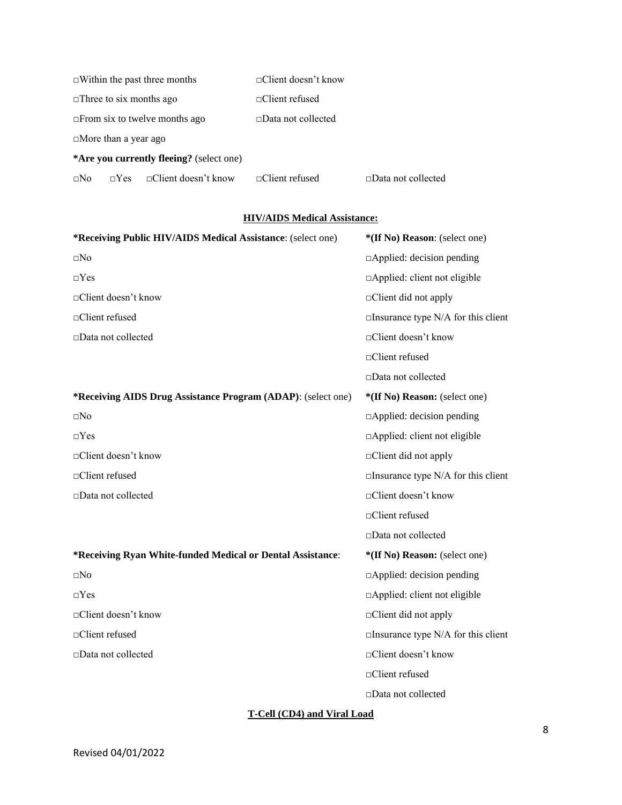| $\Box$ Within the past three months      |            |  | $\Box$ Client doesn't know |                           |
|------------------------------------------|------------|--|----------------------------|---------------------------|
| $\Box$ Three to six months ago           |            |  | $\Box$ Client refused      |                           |
| $\Box$ From six to twelve months ago     |            |  | $\Box$ Data not collected  |                           |
| $\Box$ More than a year ago              |            |  |                            |                           |
| *Are you currently fleeing? (select one) |            |  |                            |                           |
| $\Box$ No                                | $\neg Yes$ |  | $\Box$ Client refused      | $\Box$ Data not collected |

## **HIV/AIDS Medical Assistance:**

| *Receiving Public HIV/AIDS Medical Assistance: (select one)  | *(If No) Reason: (select one)             |
|--------------------------------------------------------------|-------------------------------------------|
| $\square$ No                                                 | $\Box$ Applied: decision pending          |
| $\Box$ Yes                                                   | □Applied: client not eligible             |
| □Client doesn't know                                         | $\Box$ Client did not apply               |
| □Client refused                                              | $\Box$ Insurance type N/A for this client |
| □Data not collected                                          | □Client doesn't know                      |
|                                                              | □Client refused                           |
|                                                              | □Data not collected                       |
| *Receiving AIDS Drug Assistance Program (ADAP): (select one) | *(If No) Reason: (select one)             |
| $\square No$                                                 | $\Box$ Applied: decision pending          |
| $\Box$ Yes                                                   | □Applied: client not eligible             |
| □Client doesn't know                                         | $\Box$ Client did not apply               |
| □Client refused                                              | $\Box$ Insurance type N/A for this client |
| □Data not collected                                          | □Client doesn't know                      |
|                                                              | □Client refused                           |
|                                                              | □Data not collected                       |
| *Receiving Ryan White-funded Medical or Dental Assistance:   | *(If No) Reason: (select one)             |
| $\square No$                                                 | $\Box$ Applied: decision pending          |
| $\Box$ Yes                                                   | □Applied: client not eligible             |
| □Client doesn't know                                         | $\Box$ Client did not apply               |
| □Client refused                                              | $\Box$ Insurance type N/A for this client |
| □Data not collected                                          | □Client doesn't know                      |
|                                                              | □Client refused                           |
|                                                              | $\square$ Data not collected              |

# **T-Cell (CD4) and Viral Load**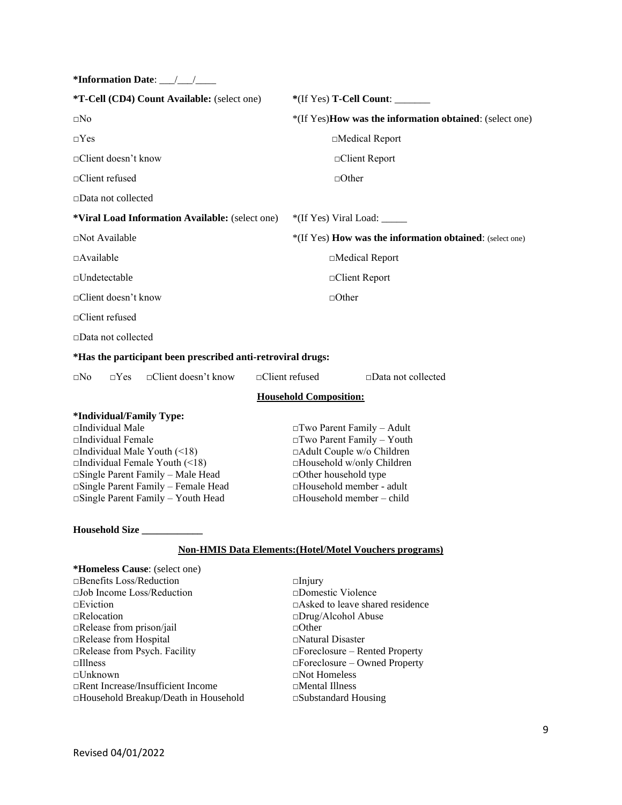| *Information Date: __/__/____                               |                                                                |  |  |
|-------------------------------------------------------------|----------------------------------------------------------------|--|--|
| *T-Cell (CD4) Count Available: (select one)                 | *(If Yes) <b>T-Cell Count:</b>                                 |  |  |
| $\square$ No                                                | *(If Yes)How was the information obtained: (select one)        |  |  |
| $\Box$ Yes                                                  | □Medical Report                                                |  |  |
| □Client doesn't know                                        | □Client Report                                                 |  |  |
| □Client refused                                             | $\Box$ Other                                                   |  |  |
| □Data not collected                                         |                                                                |  |  |
| *Viral Load Information Available: (select one)             |                                                                |  |  |
| $\Box$ Not Available                                        | *(If Yes) How was the information obtained: (select one)       |  |  |
| $\Box$ Available                                            | □Medical Report                                                |  |  |
| $\Box$ Undetectable                                         | □Client Report                                                 |  |  |
| $\Box$ Client doesn't know                                  | $\Box$ Other                                                   |  |  |
| □Client refused                                             |                                                                |  |  |
| □Data not collected                                         |                                                                |  |  |
| *Has the participant been prescribed anti-retroviral drugs: |                                                                |  |  |
| $\Box$ Client doesn't know<br>$\square$ No<br>$\Box$ Yes    | □Client refused<br>$\square$ Data not collected                |  |  |
|                                                             | <b>Household Composition:</b>                                  |  |  |
| *Individual/Family Type:                                    |                                                                |  |  |
| □Individual Male                                            | $\Box$ Two Parent Family - Adult                               |  |  |
| $\Box$ Individual Female                                    | $\Box$ Two Parent Family - Youth                               |  |  |
| $\Box$ Individual Male Youth (<18)                          | □Adult Couple w/o Children                                     |  |  |
| $\Box$ Individual Female Youth (<18)                        | □Household w/only Children                                     |  |  |
| □Single Parent Family – Male Head                           | □Other household type                                          |  |  |
| □Single Parent Family – Female Head                         | □Household member - adult                                      |  |  |
| $\Box$ Single Parent Family - Youth Head                    | $\Box$ Household member - child                                |  |  |
| Household Size                                              |                                                                |  |  |
|                                                             | <b>Non-HMIS Data Elements: (Hotel/Motel Vouchers programs)</b> |  |  |
| *Homeless Cause: (select one)                               |                                                                |  |  |
| $\Box$ Benefits Loss/Reduction                              | $\Box$ Injury                                                  |  |  |
| □Job Income Loss/Reduction                                  | $\square$ Domestic Violence                                    |  |  |
| $\neg$ Eviction                                             | $\Box$ Asked to leave shared residence                         |  |  |
| $\Box$ Relocation                                           | □Drug/Alcohol Abuse                                            |  |  |
| $\Box$ Release from prison/jail                             | $\Box$ Other                                                   |  |  |
| □Release from Hospital                                      | $\Box$ Natural Disaster                                        |  |  |
| Release from Psych. Facility                                | □Foreclosure - Rented Property                                 |  |  |
| $\Box$ Illness                                              | $\Box$ Foreclosure – Owned Property                            |  |  |
| □Unknown                                                    | $\Box$ Not Homeless                                            |  |  |
| $\Box$ Rent Increase/Insufficient Income                    | □Mental Illness                                                |  |  |
| □Household Breakup/Death in Household                       | $\square$ Substandard Housing                                  |  |  |
|                                                             |                                                                |  |  |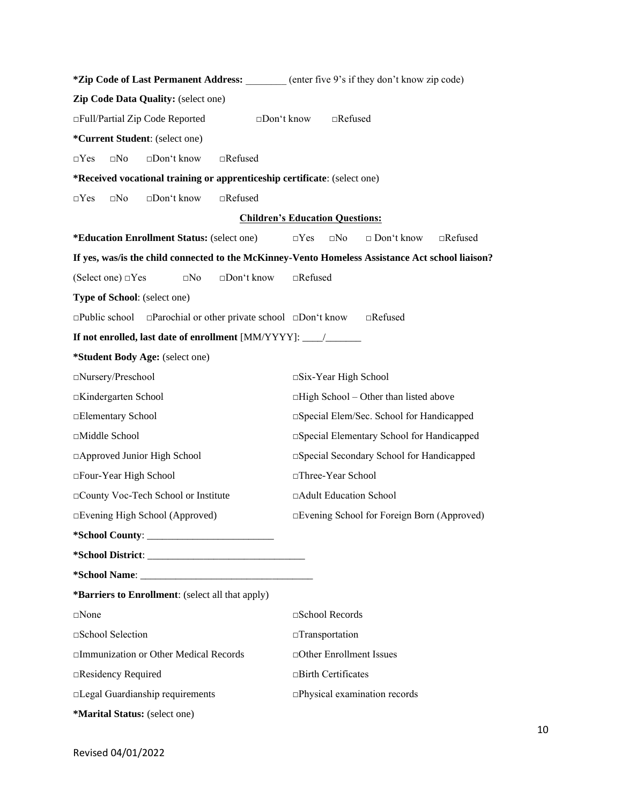| *Zip Code of Last Permanent Address: ______ (enter five 9's if they don't know zip code)         |                                                                   |  |  |
|--------------------------------------------------------------------------------------------------|-------------------------------------------------------------------|--|--|
| Zip Code Data Quality: (select one)                                                              |                                                                   |  |  |
| □Full/Partial Zip Code Reported<br>$\square$ Don't know<br>$\Box$ Refused                        |                                                                   |  |  |
| *Current Student: (select one)                                                                   |                                                                   |  |  |
| □Don't know<br>$\square$ No<br>$\Box$ Refused<br>$\Box$ Yes                                      |                                                                   |  |  |
| *Received vocational training or apprenticeship certificate: (select one)                        |                                                                   |  |  |
| $\Box No$<br>□Don't know<br>$\Box$ Refused<br>$\Box$ Yes                                         |                                                                   |  |  |
|                                                                                                  | <b>Children's Education Questions:</b>                            |  |  |
| <i>*Education Enrollment Status: (select one)</i>                                                | $\square$ No<br>$\Box$ Don't know<br>$\Box$ Refused<br>$\Box$ Yes |  |  |
| If yes, was/is the child connected to the McKinney-Vento Homeless Assistance Act school liaison? |                                                                   |  |  |
| (Select one) □Yes<br>$\square$ No<br>$\square$ Don't know                                        | $\Box$ Refused                                                    |  |  |
| Type of School: (select one)                                                                     |                                                                   |  |  |
| $\Box$ Public school $\Box$ Parochial or other private school $\Box$ Don't know                  | $\Box$ Refused                                                    |  |  |
| If not enrolled, last date of enrollment [MM/YYYY]: _____________________________                |                                                                   |  |  |
| *Student Body Age: (select one)                                                                  |                                                                   |  |  |
| □Nursery/Preschool                                                                               | $\square$ Six-Year High School                                    |  |  |
| □Kindergarten School                                                                             | $\Box$ High School – Other than listed above                      |  |  |
| □Elementary School                                                                               | □ Special Elem/Sec. School for Handicapped                        |  |  |
| □Middle School                                                                                   | □ Special Elementary School for Handicapped                       |  |  |
| □ Approved Junior High School                                                                    | □ Special Secondary School for Handicapped                        |  |  |
| □Four-Year High School                                                                           | □Three-Year School                                                |  |  |
| □County Voc-Tech School or Institute                                                             | □Adult Education School                                           |  |  |
| □Evening High School (Approved)                                                                  | □Evening School for Foreign Born (Approved)                       |  |  |
|                                                                                                  |                                                                   |  |  |
|                                                                                                  |                                                                   |  |  |
|                                                                                                  |                                                                   |  |  |
| *Barriers to Enrollment: (select all that apply)                                                 |                                                                   |  |  |
| $\square$ None                                                                                   | □School Records                                                   |  |  |
| □School Selection                                                                                | $\Box$ Transportation                                             |  |  |
| □Immunization or Other Medical Records                                                           | □Other Enrollment Issues                                          |  |  |
| □Residency Required                                                                              | $\Box$ Birth Certificates                                         |  |  |
| □Legal Guardianship requirements                                                                 | □Physical examination records                                     |  |  |
| *Marital Status: (select one)                                                                    |                                                                   |  |  |